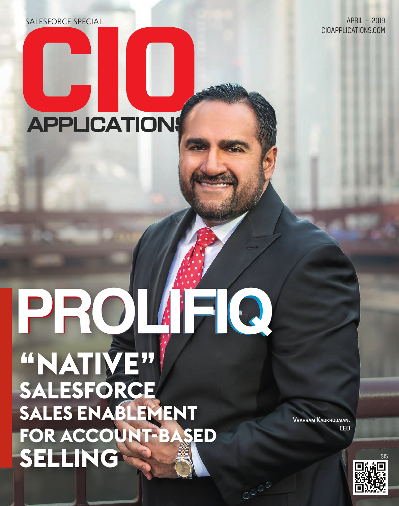SALESFORCE SPECIAL APRIL - 2019

CIOAPPLICATIONS.COM

# **APPLICATIONS**

# **PROLIFIQ "NATIVE" SALESFORCE SALES ENABLEMENT FOR ACCOUNT-BASED SELLING** & a

Vrahram Kadkhodaian, CEO

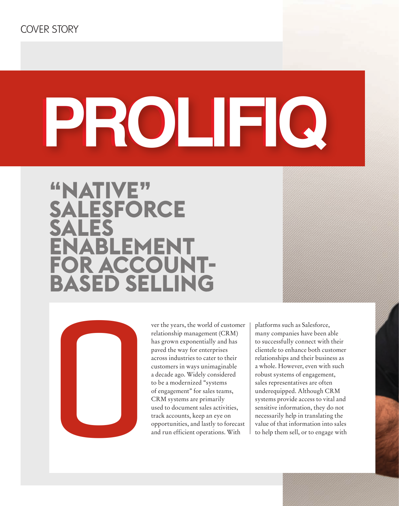# **PROLIFIQ**

# **"NATIVE" SALESFORCE**<br>CALES SALES<br>ENABLEMENT **FOR ACCOUNT-FOR ACCOUNT-<br>BASED SELLING BASED SELLING**



ver the years, the world of customer relationship management (CRM) has grown exponentially and has paved the way for enterprises across industries to cater to their customers in ways unimaginable a decade ago. Widely considered to be a modernized "systems of engagement" for sales teams, CRM systems are primarily used to document sales activities, track accounts, keep an eye on opportunities, and lastly to forecast and run efficient operations. With

platforms such as Salesforce, many companies have been able to successfully connect with their clientele to enhance both customer relationships and their business as a whole. However, even with such robust systems of engagement, sales representatives are often underequipped. Although CRM systems provide access to vital and sensitive information, they do not necessarily help in translating the value of that information into sales to help them sell, or to engage with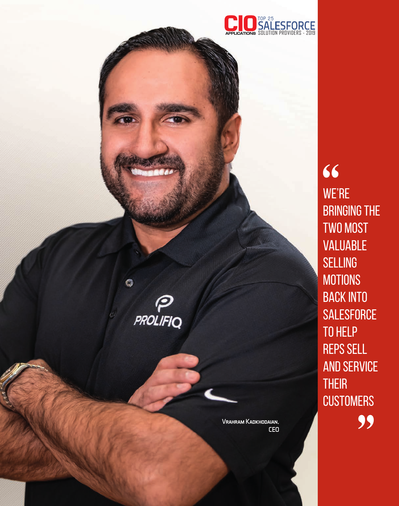

VALUABLE **SELLING MOTIONS** BACK INTO **SALESFORCE** TO HELP REPS SELL AND SERVICE **THEIR CUSTOMERS** 99

WE'RE

66

BRINGING THE

TWO MOST

Vrahram Kadkhodaian, CEO

Q

 $\boldsymbol{\varphi}$ 

**PROLIFIQ**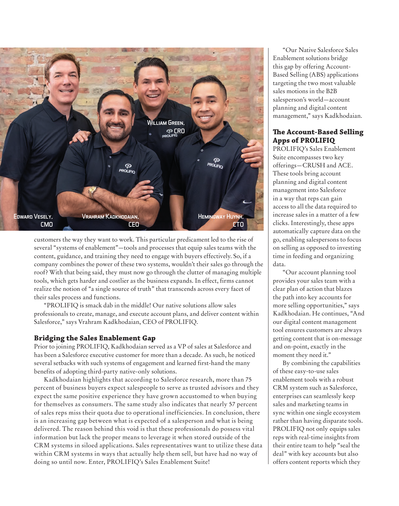

customers the way they want to work. This particular predicament led to the rise of several "systems of enablement"—tools and processes that equip sales teams with the content, guidance, and training they need to engage with buyers effectively. So, if a company combines the power of these two systems, wouldn't their sales go through the roof? With that being said, they must now go through the clutter of managing multiple tools, which gets harder and costlier as the business expands. In effect, firms cannot realize the notion of "a single source of truth" that transcends across every facet of their sales process and functions.

"PROLIFIQ is smack dab in the middle! Our native solutions allow sales professionals to create, manage, and execute account plans, and deliver content within Salesforce," says Vrahram Kadkhodaian, CEO of PROLIFIQ.

#### **Bridging the Sales Enablement Gap**

Prior to joining PROLIFIQ, Kadkhodaian served as a VP of sales at Salesforce and has been a Salesforce executive customer for more than a decade. As such, he noticed several setbacks with such systems of engagement and learned first-hand the many benefits of adopting third-party native-only solutions.

Kadkhodaian highlights that according to Salesforce research, more than 75 percent of business buyers expect salespeople to serve as trusted advisors and they expect the same positive experience they have grown accustomed to when buying for themselves as consumers. The same study also indicates that nearly 57 percent of sales reps miss their quota due to operational inefficiencies. In conclusion, there is an increasing gap between what is expected of a salesperson and what is being delivered. The reason behind this void is that these professionals do possess vital information but lack the proper means to leverage it when stored outside of the CRM systems in siloed applications. Sales representatives want to utilize these data within CRM systems in ways that actually help them sell, but have had no way of doing so until now. Enter, PROLIFIQ's Sales Enablement Suite!

"Our Native Salesforce Sales Enablement solutions bridge this gap by offering Account-Based Selling (ABS) applications targeting the two most valuable sales motions in the B2B salesperson's world—account planning and digital content management," says Kadkhodaian.

#### **The Account-Based Selling Apps of PROLIFIQ**

PROLIFIQ's Sales Enablement Suite encompasses two key offerings—CRUSH and ACE. These tools bring account planning and digital content management into Salesforce in a way that reps can gain access to all the data required to increase sales in a matter of a few clicks. Interestingly, these apps automatically capture data on the go, enabling salespersons to focus on selling as opposed to investing time in feeding and organizing data.

"Our account planning tool provides your sales team with a clear plan of action that blazes the path into key accounts for more selling opportunities," says Kadkhodaian. He continues, "And our digital content management tool ensures customers are always getting content that is on-message and on-point, exactly in the moment they need it."

By combining the capabilities of these easy-to-use sales enablement tools with a robust CRM system such as Salesforce, enterprises can seamlessly keep sales and marketing teams in sync within one single ecosystem rather than having disparate tools. PROLIFIQ not only equips sales reps with real-time insights from their entire team to help "seal the deal" with key accounts but also offers content reports which they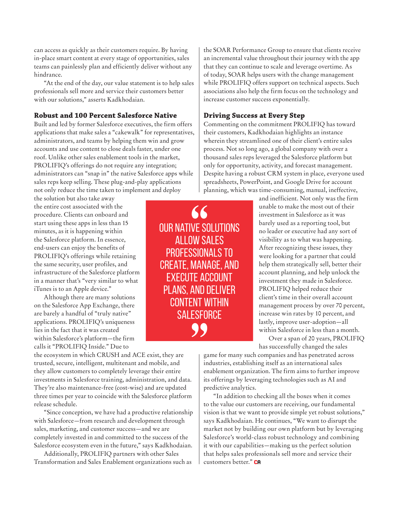can access as quickly as their customers require. By having in-place smart content at every stage of opportunities, sales teams can painlessly plan and efficiently deliver without any hindrance.

"At the end of the day, our value statement is to help sales professionals sell more and service their customers better with our solutions," asserts Kadkhodaian.

#### **Robust and 100 Percent Salesforce Native**

Built and led by former Salesforce executives, the firm offers applications that make sales a "cakewalk" for representatives, administrators, and teams by helping them win and grow accounts and use content to close deals faster, under one roof. Unlike other sales enablement tools in the market, PROLIFIQ's offerings do not require any integration; administrators can "snap in" the native Salesforce apps while sales reps keep selling. These plug-and-play applications not only reduce the time taken to implement and deploy

the solution but also take away the entire cost associated with the procedure. Clients can onboard and start using these apps in less than 15 minutes, as it is happening within the Salesforce platform. In essence, end-users can enjoy the benefits of PROLIFIQ's offerings while retaining the same security, user profiles, and infrastructure of the Salesforce platform in a manner that's "very similar to what iTunes is to an Apple device."

Although there are many solutions on the Salesforce App Exchange, there are barely a handful of "truly native" applications. PROLIFIQ's uniqueness lies in the fact that it was created within Salesforce's platform—the firm calls it "PROLIFIQ Inside." Due to

the ecosystem in which CRUSH and ACE exist, they are trusted, secure, intelligent, multitenant and mobile, and they allow customers to completely leverage their entire investments in Salesforce training, administration, and data. They're also maintenance-free (cost-wise) and are updated three times per year to coincide with the Salesforce platform release schedule.

"Since conception, we have had a productive relationship with Salesforce—from research and development through sales, marketing, and customer success—and we are completely invested in and committed to the success of the Salesforce ecosystem even in the future," says Kadkhodaian.

Additionally, PROLIFIQ partners with other Sales Transformation and Sales Enablement organizations such as

66 Our native solutions allow sales professionals to create, manage, and execute account plans, and deliver content within **SALESFORCE** 99

the SOAR Performance Group to ensure that clients receive an incremental value throughout their journey with the app that they can continue to scale and leverage overtime. As of today, SOAR helps users with the change management while PROLIFIQ offers support on technical aspects. Such associations also help the firm focus on the technology and increase customer success exponentially.

#### **Driving Success at Every Step**

Commenting on the commitment PROLIFIQ has toward their customers, Kadkhodaian highlights an instance wherein they streamlined one of their client's entire sales process. Not so long ago, a global company with over a thousand sales reps leveraged the Salesforce platform but only for opportunity, activity, and forecast management. Despite having a robust CRM system in place, everyone used spreadsheets, PowerPoint, and Google Drive for account planning, which was time-consuming, manual, ineffective,

> and inefficient. Not only was the firm unable to make the most out of their investment in Salesforce as it was barely used as a reporting tool, but no leader or executive had any sort of visibility as to what was happening. After recognizing these issues, they were looking for a partner that could help them strategically sell, better their account planning, and help unlock the investment they made in Salesforce. PROLIFIQ helped reduce their client's time in their overall account management process by over 70 percent, increase win rates by 10 percent, and lastly, improve user-adoption—all within Salesforce in less than a month.

> Over a span of 20 years, PROLIFIQ has successfully changed the sales

game for many such companies and has penetrated across industries, establishing itself as an international sales enablement organization. The firm aims to further improve its offerings by leveraging technologies such as AI and predictive analytics.

"In addition to checking all the boxes when it comes to the value our customers are receiving, our fundamental vision is that we want to provide simple yet robust solutions," says Kadkhodaian. He continues, "We want to disrupt the market not by building our own platform but by leveraging Salesforce's world-class robust technology and combining it with our capabilities—making us the perfect solution that helps sales professionals sell more and service their customers better." CA